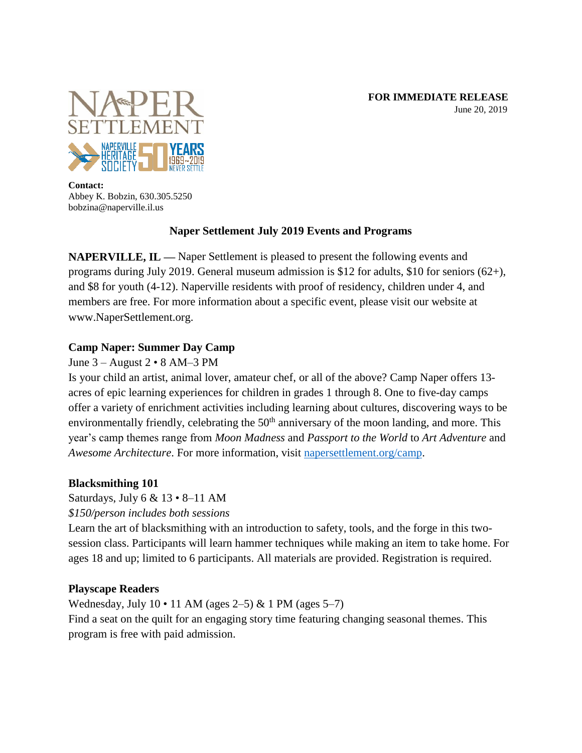

**Contact:** Abbey K. Bobzin, 630.305.5250 bobzina@naperville.il.us

# **Naper Settlement July 2019 Events and Programs**

**NAPERVILLE, IL —** Naper Settlement is pleased to present the following events and programs during July 2019. General museum admission is \$12 for adults, \$10 for seniors (62+), and \$8 for youth (4-12). Naperville residents with proof of residency, children under 4, and members are free. For more information about a specific event, please visit our website at www.NaperSettlement.org.

# **Camp Naper: Summer Day Camp**

# June 3 – August 2 • 8 AM–3 PM

Is your child an artist, animal lover, amateur chef, or all of the above? Camp Naper offers 13 acres of epic learning experiences for children in grades 1 through 8. One to five-day camps offer a variety of enrichment activities including learning about cultures, discovering ways to be environmentally friendly, celebrating the 50<sup>th</sup> anniversary of the moon landing, and more. This year's camp themes range from *Moon Madness* and *Passport to the World* to *Art Adventure* and *Awesome Architecture*. For more information, visit [napersettlement.org/camp.](http://www.napersettlement.org/camp)

# **Blacksmithing 101**

Saturdays, July  $6 \& 13 \cdot 8 - 11$  AM

*\$150/person includes both sessions*

Learn the art of blacksmithing with an introduction to safety, tools, and the forge in this twosession class. Participants will learn hammer techniques while making an item to take home. For ages 18 and up; limited to 6 participants. All materials are provided. Registration is required.

# **Playscape Readers**

Wednesday, July 10 • 11 AM (ages 2–5) & 1 PM (ages 5–7) Find a seat on the quilt for an engaging story time featuring changing seasonal themes. This program is free with paid admission.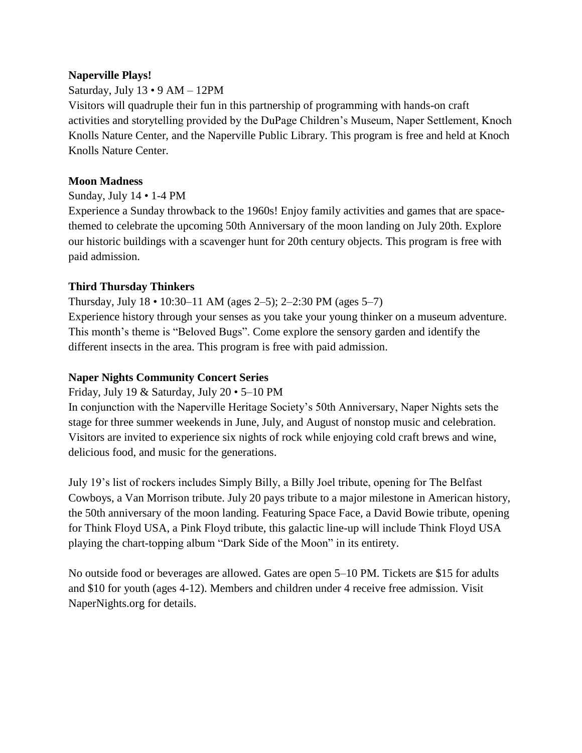### **Naperville Plays!**

### Saturday, July 13 • 9 AM – 12PM

Visitors will quadruple their fun in this partnership of programming with hands-on craft activities and storytelling provided by the DuPage Children's Museum, Naper Settlement, Knoch Knolls Nature Center, and the Naperville Public Library. This program is free and held at Knoch Knolls Nature Center.

#### **Moon Madness**

Sunday, July 14 • 1-4 PM

Experience a Sunday throwback to the 1960s! Enjoy family activities and games that are spacethemed to celebrate the upcoming 50th Anniversary of the moon landing on July 20th. Explore our historic buildings with a scavenger hunt for 20th century objects. This program is free with paid admission.

#### **Third Thursday Thinkers**

Thursday, July 18 • 10:30–11 AM (ages 2–5); 2–2:30 PM (ages 5–7) Experience history through your senses as you take your young thinker on a museum adventure. This month's theme is "Beloved Bugs". Come explore the sensory garden and identify the different insects in the area. This program is free with paid admission.

#### **Naper Nights Community Concert Series**

Friday, July 19 & Saturday, July 20 • 5–10 PM

In conjunction with the Naperville Heritage Society's 50th Anniversary, Naper Nights sets the stage for three summer weekends in June, July, and August of nonstop music and celebration. Visitors are invited to experience six nights of rock while enjoying cold craft brews and wine, delicious food, and music for the generations.

July 19's list of rockers includes Simply Billy, a Billy Joel tribute, opening for The Belfast Cowboys, a Van Morrison tribute. July 20 pays tribute to a major milestone in American history, the 50th anniversary of the moon landing. Featuring Space Face, a David Bowie tribute, opening for Think Floyd USA, a Pink Floyd tribute, this galactic line-up will include Think Floyd USA playing the chart-topping album "Dark Side of the Moon" in its entirety.

No outside food or beverages are allowed. Gates are open 5–10 PM. Tickets are \$15 for adults and \$10 for youth (ages 4-12). Members and children under 4 receive free admission. Visit NaperNights.org for details.